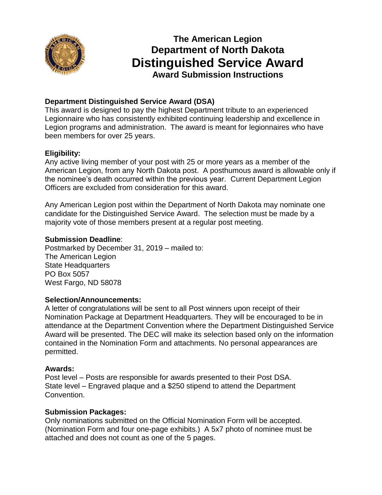

# **The American Legion Department of North Dakota Distinguished Service Award Award Submission Instructions**

# **Department Distinguished Service Award (DSA)**

This award is designed to pay the highest Department tribute to an experienced Legionnaire who has consistently exhibited continuing leadership and excellence in Legion programs and administration. The award is meant for legionnaires who have been members for over 25 years.

# **Eligibility:**

Any active living member of your post with 25 or more years as a member of the American Legion, from any North Dakota post. A posthumous award is allowable only if the nominee's death occurred within the previous year. Current Department Legion Officers are excluded from consideration for this award.

Any American Legion post within the Department of North Dakota may nominate one candidate for the Distinguished Service Award. The selection must be made by a majority vote of those members present at a regular post meeting.

### **Submission Deadline**:

Postmarked by December 31, 2019 – mailed to: The American Legion State Headquarters PO Box 5057 West Fargo, ND 58078

#### **Selection/Announcements:**

A letter of congratulations will be sent to all Post winners upon receipt of their Nomination Package at Department Headquarters. They will be encouraged to be in attendance at the Department Convention where the Department Distinguished Service Award will be presented. The DEC will make its selection based only on the information contained in the Nomination Form and attachments. No personal appearances are permitted.

## **Awards:**

Post level – Posts are responsible for awards presented to their Post DSA. State level – Engraved plaque and a \$250 stipend to attend the Department Convention.

## **Submission Packages:**

Only nominations submitted on the Official Nomination Form will be accepted. (Nomination Form and four one-page exhibits.) A 5x7 photo of nominee must be attached and does not count as one of the 5 pages.